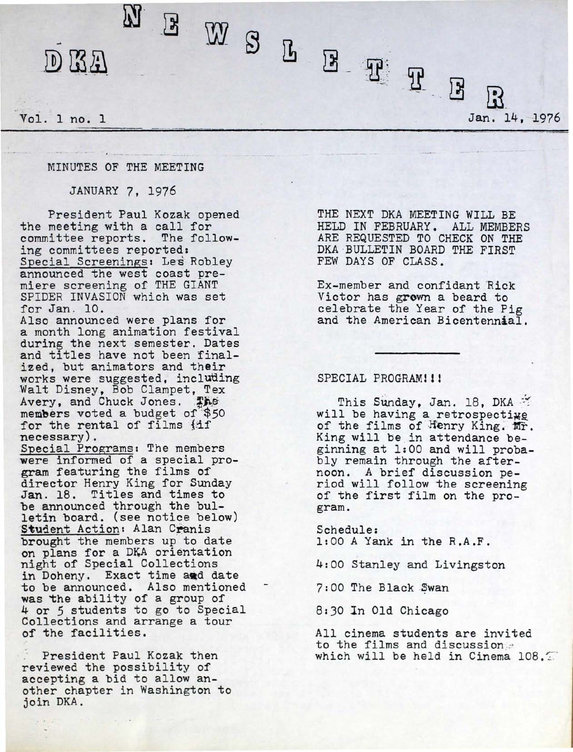## D KA

Vol. 1 no. 1

rn E W S L R H R R Jan. 14, 1976

## MINUTES OF THE MEETING

JANUARY 7, 1976

President Paul Kozak opened the meeting with a call for committee reports. The following committees reported: Special Screenings• Les Robley announced the west coast premiere screening of THE GIANT SPIDER INVASION which was set for Jan. 10.

Also announced were plans for a month long animation festival during the next semester. Dates and titles have not been finalized, but animators and their<br>works were suggested, including works were suggested, including<br>Walt Disney, Bob Clampet, Tex Avery, and Chuck Jones. The members voted a budget of '\$50 for the rental of films {if<br>necessary).

Special Programs: The members were informed of a special program featuring the films of<br>director Henry King for Sunday Jan. 18. Titles and times to be announced through the bulletin board. (see notice below) Student Action: Alan Cranis brought the members up to date on plans for a DKA orientation night of Special Collections in Doheny. Exact time and date to be announced. Also mentioned was the ability of a group of 4 or *5* students to go to Special Collections and arrange a tour of the facilities.

. President Paul Kozak then reviewed the possibility of accepting a bid to allow another chapter in Washington to join DKA.

THE NEXT DKA MEETING WILL BE HELD IN FEBRUARY. ALL MEMBERS ARE REQUESTED TO CHECK ON THE DKA BULLETIN BOARD THE FIRST FEW DAYS OF CLASS.

Ex-member and confidant Rick Victor has grown a beard to celebrate the Year of the Pig and the American Bicentennial.

## SPECIAL PROGRAM!!!

This Sunday, Jan. 18, DKA \*\*<br>will be having a retrospecting of the films of Henry King. Mr. King will be in attendance be-<br>ginning at 1:00 and will probably remain through the after-<br>noon. A brief discussion period will follow the screening<br>of the first film on the program.

Schedule: 1:00 A Yank in the R.A.F.

4:00 Stanley and Livingston

7:00 The Black Swan

8:30 ln Old Chicago

All cinema students are invited to the films and discussion ... which will be held in Cinema  $108.$